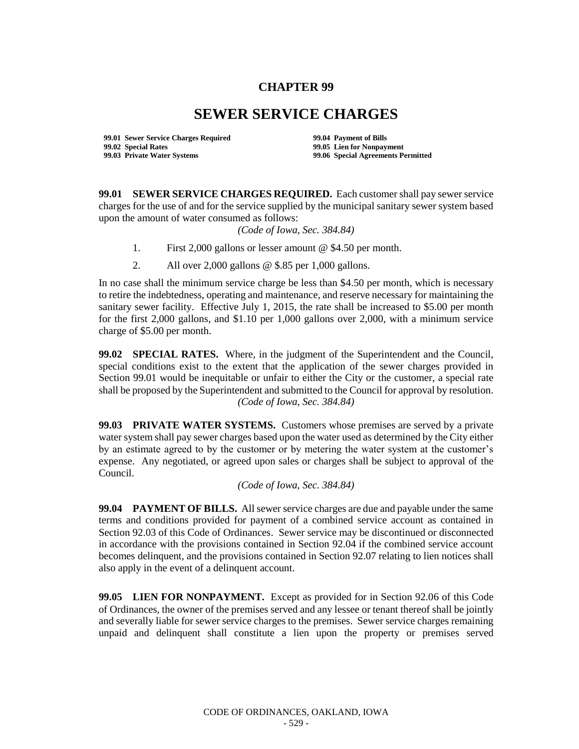## **CHAPTER 99**

## **SEWER SERVICE CHARGES**

**99.01 Sewer Service Charges Required 99.04 Payment of Bills 99.02 Special Rates 99.05 Lien for Nonpayment**

**99.06 Special Agreements Permitted** 

**99.01 SEWER SERVICE CHARGES REQUIRED.** Each customer shall pay sewer service charges for the use of and for the service supplied by the municipal sanitary sewer system based upon the amount of water consumed as follows:

*(Code of Iowa, Sec. 384.84)*

- 1. First 2,000 gallons or lesser amount @ \$4.50 per month.
- 2. All over 2,000 gallons @ \$.85 per 1,000 gallons.

In no case shall the minimum service charge be less than \$4.50 per month, which is necessary to retire the indebtedness, operating and maintenance, and reserve necessary for maintaining the sanitary sewer facility. Effective July 1, 2015, the rate shall be increased to \$5.00 per month for the first 2,000 gallons, and \$1.10 per 1,000 gallons over 2,000, with a minimum service charge of \$5.00 per month.

**99.02 SPECIAL RATES.** Where, in the judgment of the Superintendent and the Council, special conditions exist to the extent that the application of the sewer charges provided in Section 99.01 would be inequitable or unfair to either the City or the customer, a special rate shall be proposed by the Superintendent and submitted to the Council for approval by resolution. *(Code of Iowa, Sec. 384.84)*

**99.03 PRIVATE WATER SYSTEMS.** Customers whose premises are served by a private water system shall pay sewer charges based upon the water used as determined by the City either by an estimate agreed to by the customer or by metering the water system at the customer's expense. Any negotiated, or agreed upon sales or charges shall be subject to approval of the Council.

*(Code of Iowa, Sec. 384.84)*

**99.04 PAYMENT OF BILLS.** All sewer service charges are due and payable under the same terms and conditions provided for payment of a combined service account as contained in Section 92.03 of this Code of Ordinances. Sewer service may be discontinued or disconnected in accordance with the provisions contained in Section 92.04 if the combined service account becomes delinquent, and the provisions contained in Section 92.07 relating to lien notices shall also apply in the event of a delinquent account.

**99.05 LIEN FOR NONPAYMENT.** Except as provided for in Section 92.06 of this Code of Ordinances, the owner of the premises served and any lessee or tenant thereof shall be jointly and severally liable for sewer service charges to the premises. Sewer service charges remaining unpaid and delinquent shall constitute a lien upon the property or premises served